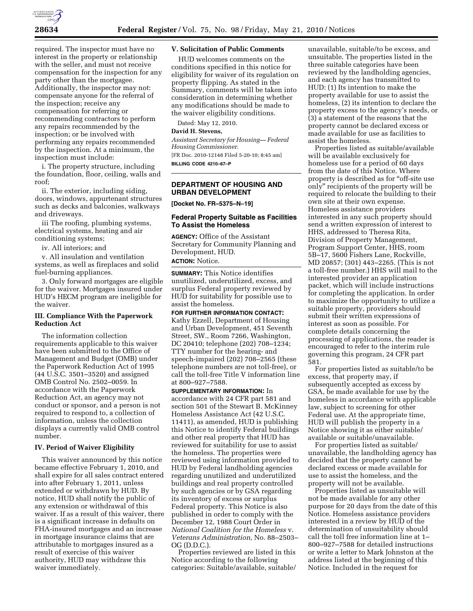

required. The inspector must have no interest in the property or relationship with the seller, and must not receive compensation for the inspection for any party other than the mortgagee. Additionally, the inspector may not: compensate anyone for the referral of the inspection; receive any compensation for referring or recommending contractors to perform any repairs recommended by the inspection; or be involved with performing any repairs recommended by the inspection. At a minimum, the inspection must include:

i. The property structure, including the foundation, floor, ceiling, walls and roof;

ii. The exterior, including siding, doors, windows, appurtenant structures such as decks and balconies, walkways and driveways.

iii The roofing, plumbing systems, electrical systems, heating and air conditioning systems;

iv. All interiors; and

v. All insulation and ventilation systems, as well as fireplaces and solid fuel-burning appliances.

3. Only forward mortgages are eligible for the waiver. Mortgages insured under HUD's HECM program are ineligible for the waiver.

### **III. Compliance With the Paperwork Reduction Act**

The information collection requirements applicable to this waiver have been submitted to the Office of Management and Budget (OMB) under the Paperwork Reduction Act of 1995 (44 U.S.C. 3501–3520) and assigned OMB Control No. 2502–0059. In accordance with the Paperwork Reduction Act, an agency may not conduct or sponsor, and a person is not required to respond to, a collection of information, unless the collection displays a currently valid OMB control number.

# **IV. Period of Waiver Eligibility**

This waiver announced by this notice became effective February 1, 2010, and shall expire for all sales contract entered into after February 1, 2011, unless extended or withdrawn by HUD. By notice, HUD shall notify the public of any extension or withdrawal of this waiver. If as a result of this waiver, there is a significant increase in defaults on FHA-insured mortgages and an increase in mortgage insurance claims that are attributable to mortgages insured as a result of exercise of this waiver authority, HUD may withdraw this waiver immediately.

### **V. Solicitation of Public Comments**

HUD welcomes comments on the conditions specified in this notice for eligibility for waiver of its regulation on property flipping. As stated in the Summary, comments will be taken into consideration in determining whether any modifications should be made to the waiver eligibility conditions.

Dated: May 12, 2010.

# **David H. Stevens,**

*Assistant Secretary for Housing— Federal Housing Commissioner.* 

[FR Doc. 2010-12148 Filed 5-20-10; 8:45 am] **BILLING CODE 4210–67–P** 

# **DEPARTMENT OF HOUSING AND URBAN DEVELOPMENT**

**[Docket No. FR–5375–N–19]** 

#### **Federal Property Suitable as Facilities To Assist the Homeless**

**AGENCY:** Office of the Assistant Secretary for Community Planning and Development, HUD. **ACTION:** Notice.

**SUMMARY:** This Notice identifies

unutilized, underutilized, excess, and surplus Federal property reviewed by HUD for suitability for possible use to assist the homeless.

**FOR FURTHER INFORMATION CONTACT:**  Kathy Ezzell, Department of Housing and Urban Development, 451 Seventh Street, SW., Room 7266, Washington, DC 20410; telephone (202) 708–1234; TTY number for the hearing- and speech-impaired (202) 708–2565 (these telephone numbers are not toll-free), or call the toll-free Title V information line at 800–927–7588.

**SUPPLEMENTARY INFORMATION:** In accordance with 24 CFR part 581 and section 501 of the Stewart B. McKinney Homeless Assistance Act (42 U.S.C. 11411), as amended, HUD is publishing this Notice to identify Federal buildings and other real property that HUD has reviewed for suitability for use to assist the homeless. The properties were reviewed using information provided to HUD by Federal landholding agencies regarding unutilized and underutilized buildings and real property controlled by such agencies or by GSA regarding its inventory of excess or surplus Federal property. This Notice is also published in order to comply with the December 12, 1988 Court Order in *National Coalition for the Homeless* v. *Veterans Administration,* No. 88–2503– OG (D.D.C.).

Properties reviewed are listed in this Notice according to the following categories: Suitable/available, suitable/

unavailable, suitable/to be excess, and unsuitable. The properties listed in the three suitable categories have been reviewed by the landholding agencies, and each agency has transmitted to HUD: (1) Its intention to make the property available for use to assist the homeless, (2) its intention to declare the property excess to the agency's needs, or (3) a statement of the reasons that the property cannot be declared excess or made available for use as facilities to assist the homeless.

Properties listed as suitable/available will be available exclusively for homeless use for a period of 60 days from the date of this Notice. Where property is described as for "off-site use only'' recipients of the property will be required to relocate the building to their own site at their own expense. Homeless assistance providers interested in any such property should send a written expression of interest to HHS, addressed to Theresa Rita, Division of Property Management, Program Support Center, HHS, room 5B–17, 5600 Fishers Lane, Rockville, MD 20857; (301) 443–2265. (This is not a toll-free number.) HHS will mail to the interested provider an application packet, which will include instructions for completing the application. In order to maximize the opportunity to utilize a suitable property, providers should submit their written expressions of interest as soon as possible. For complete details concerning the processing of applications, the reader is encouraged to refer to the interim rule governing this program, 24 CFR part 581.

For properties listed as suitable/to be excess, that property may, if subsequently accepted as excess by GSA, be made available for use by the homeless in accordance with applicable law, subject to screening for other Federal use. At the appropriate time, HUD will publish the property in a Notice showing it as either suitable/ available or suitable/unavailable.

For properties listed as suitable/ unavailable, the landholding agency has decided that the property cannot be declared excess or made available for use to assist the homeless, and the property will not be available.

Properties listed as unsuitable will not be made available for any other purpose for 20 days from the date of this Notice. Homeless assistance providers interested in a review by HUD of the determination of unsuitability should call the toll free information line at 1– 800–927–7588 for detailed instructions or write a letter to Mark Johnston at the address listed at the beginning of this Notice. Included in the request for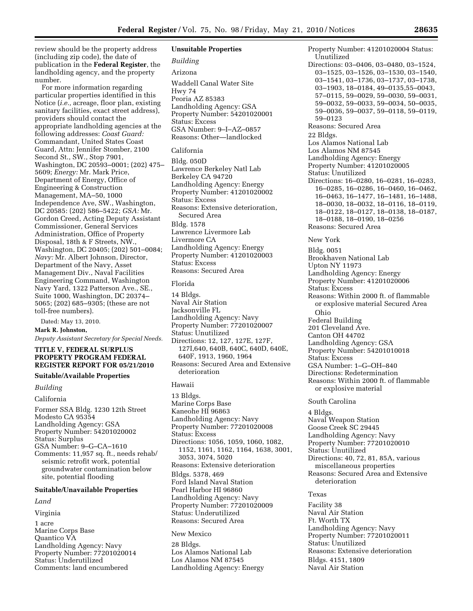review should be the property address (including zip code), the date of publication in the **Federal Register**, the landholding agency, and the property number.

For more information regarding particular properties identified in this Notice (*i.e.,* acreage, floor plan, existing sanitary facilities, exact street address), providers should contact the appropriate landholding agencies at the following addresses: *Coast Guard:*  Commandant, United States Coast Guard, Attn: Jennifer Stomber, 2100 Second St., SW., Stop 7901, Washington, DC 20593–0001; (202) 475– 5609; *Energy:* Mr. Mark Price, Department of Energy, Office of Engineering & Construction Management, MA–50, 1000 Independence Ave, SW., Washington, DC 20585: (202) 586–5422; *GSA:* Mr. Gordon Creed, Acting Deputy Assistant Commissioner, General Services Administration, Office of Property Disposal, 18th & F Streets, NW., Washington, DC 20405; (202) 501–0084; *Navy:* Mr. Albert Johnson, Director, Department of the Navy, Asset Management Div., Naval Facilities Engineering Command, Washington Navy Yard, 1322 Patterson Ave., SE., Suite 1000, Washington, DC 20374– 5065; (202) 685–9305; (these are not toll-free numbers).

Dated: May 13, 2010.

# **Mark R. Johnston,**

*Deputy Assistant Secretary for Special Needs.* 

#### **TITLE V, FEDERAL SURPLUS PROPERTY PROGRAM FEDERAL REGISTER REPORT FOR 05/21/2010**

#### **Suitable/Available Properties**

*Building* 

#### California

Former SSA Bldg. 1230 12th Street Modesto CA 95354 Landholding Agency: GSA Property Number: 54201020002 Status: Surplus GSA Number: 9–G–CA–1610 Comments: 11,957 sq. ft., needs rehab/ seismic retrofit work, potential groundwater contamination below site, potential flooding

#### **Suitable/Unavailable Properties**

#### *Land*

Virginia

1 acre Marine Corps Base Quantico VA Landholding Agency: Navy Property Number: 77201020014 Status: Underutilized Comments: land encumbered

### **Unsuitable Properties**

# *Building*

# Arizona

Waddell Canal Water Site Hwy 74 Peoria AZ 85383 Landholding Agency: GSA Property Number: 54201020001 Status: Excess GSA Number: 9–I–AZ–0857 Reasons: Other—landlocked

#### California

Bldg. 050D Lawrence Berkeley Natl Lab Berkeley CA 94720 Landholding Agency: Energy Property Number: 41201020002 Status: Excess Reasons: Extensive deterioration, Secured Area Bldg. 1578 Lawrence Livermore Lab Livermore CA Landholding Agency: Energy Property Number: 41201020003 Status: Excess Reasons: Secured Area

#### Florida

14 Bldgs. Naval Air Station Jacksonville FL Landholding Agency: Navy Property Number: 77201020007 Status: Unutilized Directions: 12, 127, 127E, 127F, 127I,640, 640B, 640C, 640D, 640E, 640F, 1913, 1960, 1964 Reasons: Secured Area and Extensive deterioration

## Hawaii

13 Bldgs. Marine Corps Base Kaneohe HI 96863 Landholding Agency: Navy Property Number: 77201020008 Status: Excess Directions: 1056, 1059, 1060, 1082, 1152, 1161, 1162, 1164, 1638, 3001, 3053, 3074, 5020 Reasons: Extensive deterioration Bldgs. 5378, 469 Ford Island Naval Station Pearl Harbor HI 96860 Landholding Agency: Navy Property Number: 77201020009 Status: Underutilized Reasons: Secured Area

#### New Mexico

28 Bldgs. Los Alamos National Lab Los Alamos NM 87545 Landholding Agency: Energy Property Number: 41201020004 Status: Unutilized Directions: 03–0406, 03–0480, 03–1524, 03–1525, 03–1526, 03–1530, 03–1540, 03–1541, 03–1736, 03–1737, 03–1738, 03–1903, 18–0184, 49–0135,55–0043, 57–0115, 59–0029, 59–0030, 59–0031, 59–0032, 59–0033, 59–0034, 50–0035, 59–0036, 59–0037, 59–0118, 59–0119, 59–0123 Reasons: Secured Area 22 Bldgs. Los Alamos National Lab Los Alamos NM 87545 Landholding Agency: Energy Property Number: 41201020005 Status: Unutilized Directions: 16–0280, 16–0281, 16–0283, 16–0285, 16–0286, 16–0460, 16–0462, 16–0463, 16–1477, 16–1481, 16–1488, 18–0030, 18–0032, 18–0116, 18–0119, 18–0122, 18–0127, 18–0138, 18–0187, 18–0188, 18–0190, 18–0256 Reasons: Secured Area New York Bldg. 0051 Brookhaven National Lab Upton NY 11973 Landholding Agency: Energy Property Number: 41201020006 Status: Excess Reasons: Within 2000 ft. of flammable or explosive material Secured Area Ohio Federal Building 201 Cleveland Ave. Canton OH 44702 Landholding Agency: GSA Property Number: 54201010018 Status: Excess GSA Number: 1–G–OH–840 Directions: Redetermination Reasons: Within 2000 ft. of flammable or explosive material

# South Carolina

4 Bldgs. Naval Weapon Station Goose Creek SC 29445 Landholding Agency: Navy Property Number: 77201020010 Status: Unutilized Directions: 40, 72, 81, 85A, various miscellaneous properties Reasons: Secured Area and Extensive deterioration

# Texas

Facility 38 Naval Air Station Ft. Worth TX Landholding Agency: Navy Property Number: 77201020011 Status: Unutilized Reasons: Extensive deterioration Bldgs. 4151, 1809 Naval Air Station